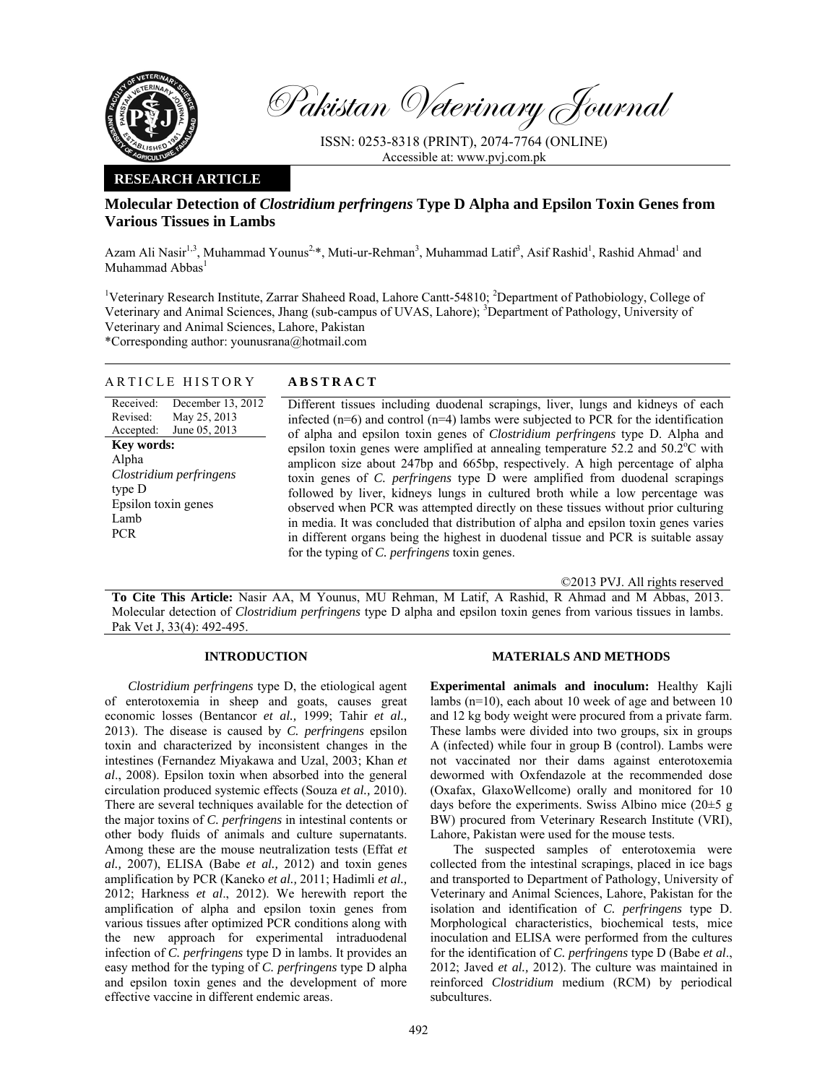

Pakistan Veterinary Journal

ISSN: 0253-8318 (PRINT), 2074-7764 (ONLINE) Accessible at: www.pvj.com.pk

## **RESEARCH ARTICLE**

# **Molecular Detection of** *Clostridium perfringens* **Type D Alpha and Epsilon Toxin Genes from Various Tissues in Lambs**

Azam Ali Nasir<sup>1,3</sup>, Muhammad Younus<sup>2,\*</sup>, Muti-ur-Rehman<sup>3</sup>, Muhammad Latif<sup>3</sup>, Asif Rashid<sup>1</sup>, Rashid Ahmad<sup>1</sup> and Muhammad Abbas<sup>1</sup>

<sup>1</sup>Veterinary Research Institute, Zarrar Shaheed Road, Lahore Cantt-54810; <sup>2</sup>Department of Pathobiology, College of Veterinary and Animal Sciences, Jhang (sub-campus of UVAS, Lahore); <sup>3</sup>Department of Pathology, University of Veterinary and Animal Sciences, Lahore, Pakistan

\*Corresponding author: younusrana@hotmail.com

## ARTICLE HISTORY **ABSTRACT**

Received: Revised: Accepted: December 13, 2012 May 25, 2013 June 05, 2013 **Key words:**  Alpha *Clostridium perfringens* type D Epsilon toxin genes Lamb PCR

 Different tissues including duodenal scrapings, liver, lungs and kidneys of each infected  $(n=6)$  and control  $(n=4)$  lambs were subjected to PCR for the identification of alpha and epsilon toxin genes of *Clostridium perfringens* type D. Alpha and epsilon toxin genes were amplified at annealing temperature  $52.2$  and  $50.2^{\circ}$ C with amplicon size about 247bp and 665bp, respectively. A high percentage of alpha toxin genes of *C. perfringens* type D were amplified from duodenal scrapings followed by liver, kidneys lungs in cultured broth while a low percentage was observed when PCR was attempted directly on these tissues without prior culturing in media. It was concluded that distribution of alpha and epsilon toxin genes varies in different organs being the highest in duodenal tissue and PCR is suitable assay for the typing of *C. perfringens* toxin genes.

©2013 PVJ. All rights reserved

**To Cite This Article:** Nasir AA, M Younus, MU Rehman, M Latif, A Rashid, R Ahmad and M Abbas, 2013. Molecular detection of *Clostridium perfringens* type D alpha and epsilon toxin genes from various tissues in lambs. Pak Vet J, 33(4): 492-495.

### **INTRODUCTION**

*Clostridium perfringens* type D, the etiological agent of enterotoxemia in sheep and goats, causes great economic losses (Bentancor *et al.,* 1999; Tahir *et al.,* 2013). The disease is caused by *C. perfringens* epsilon toxin and characterized by inconsistent changes in the intestines (Fernandez Miyakawa and Uzal, 2003; Khan *et al*., 2008). Epsilon toxin when absorbed into the general circulation produced systemic effects (Souza *et al.,* 2010). There are several techniques available for the detection of the major toxins of *C. perfringens* in intestinal contents or other body fluids of animals and culture supernatants. Among these are the mouse neutralization tests (Effat *et al.,* 2007), ELISA (Babe *et al.,* 2012) and toxin genes amplification by PCR (Kaneko *et al.,* 2011; Hadimli *et al.,* 2012; Harkness *et al*., 2012). We herewith report the amplification of alpha and epsilon toxin genes from various tissues after optimized PCR conditions along with the new approach for experimental intraduodenal infection of *C. perfringens* type D in lambs. It provides an easy method for the typing of *C. perfringens* type D alpha and epsilon toxin genes and the development of more effective vaccine in different endemic areas.

#### **MATERIALS AND METHODS**

**Experimental animals and inoculum:** Healthy Kajli lambs (n=10), each about 10 week of age and between 10 and 12 kg body weight were procured from a private farm. These lambs were divided into two groups, six in groups A (infected) while four in group B (control). Lambs were not vaccinated nor their dams against enterotoxemia dewormed with Oxfendazole at the recommended dose (Oxafax, GlaxoWellcome) orally and monitored for 10 days before the experiments. Swiss Albino mice  $(20\pm 5 \text{ g})$ BW) procured from Veterinary Research Institute (VRI), Lahore, Pakistan were used for the mouse tests.

The suspected samples of enterotoxemia were collected from the intestinal scrapings, placed in ice bags and transported to Department of Pathology, University of Veterinary and Animal Sciences, Lahore, Pakistan for the isolation and identification of *C. perfringens* type D. Morphological characteristics, biochemical tests, mice inoculation and ELISA were performed from the cultures for the identification of *C. perfringens* type D (Babe *et al*., 2012; Javed *et al.,* 2012). The culture was maintained in reinforced *Clostridium* medium (RCM) by periodical subcultures.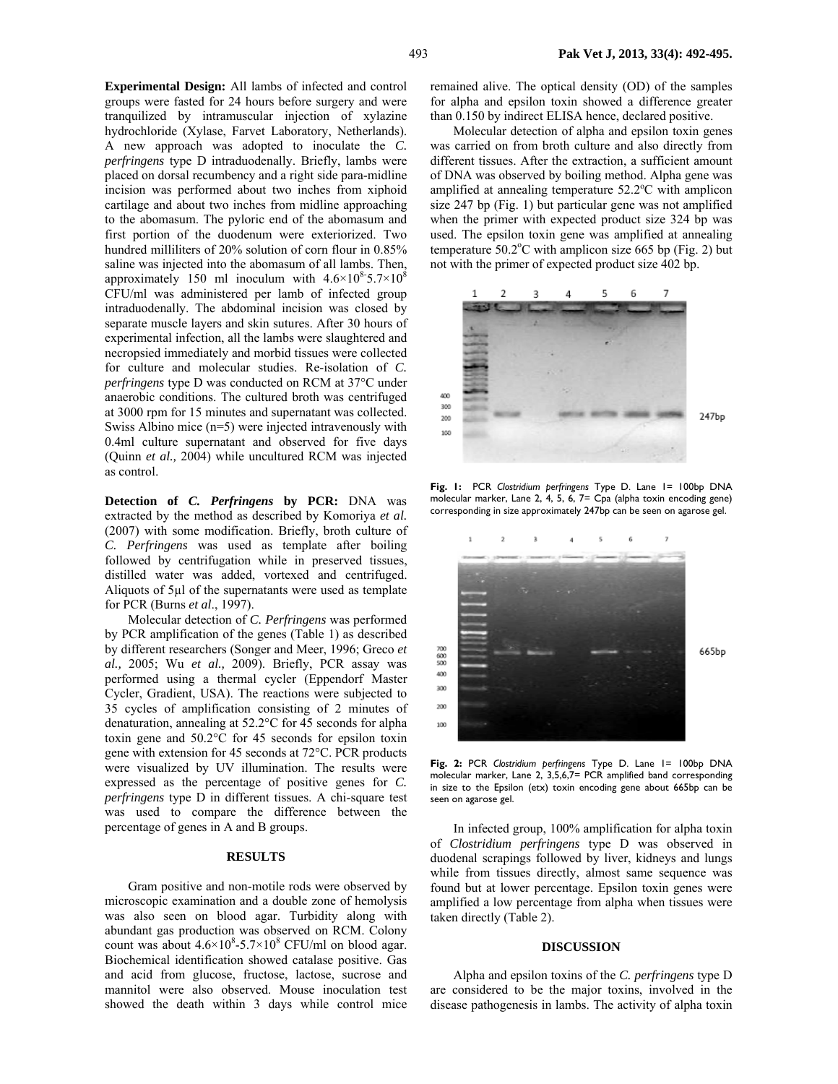**Experimental Design:** All lambs of infected and control groups were fasted for 24 hours before surgery and were tranquilized by intramuscular injection of xylazine hydrochloride (Xylase, Farvet Laboratory, Netherlands). A new approach was adopted to inoculate the *C. perfringens* type D intraduodenally. Briefly, lambs were placed on dorsal recumbency and a right side para-midline incision was performed about two inches from xiphoid cartilage and about two inches from midline approaching to the abomasum. The pyloric end of the abomasum and first portion of the duodenum were exteriorized. Two hundred milliliters of 20% solution of corn flour in 0.85% saline was injected into the abomasum of all lambs. Then, approximately 150 ml inoculum with  $4.6\times10^{8}$ -5.7 $\times10^{8}$ CFU/ml was administered per lamb of infected group intraduodenally. The abdominal incision was closed by separate muscle layers and skin sutures. After 30 hours of experimental infection, all the lambs were slaughtered and necropsied immediately and morbid tissues were collected for culture and molecular studies. Re-isolation of *C. perfringens* type D was conducted on RCM at 37°C under anaerobic conditions. The cultured broth was centrifuged at 3000 rpm for 15 minutes and supernatant was collected. Swiss Albino mice (n=5) were injected intravenously with 0.4ml culture supernatant and observed for five days (Quinn *et al.,* 2004) while uncultured RCM was injected as control.

**Detection of** *C. Perfringens* **by PCR:** DNA was extracted by the method as described by Komoriya *et al.*  (2007) with some modification. Briefly, broth culture of *C. Perfringens* was used as template after boiling followed by centrifugation while in preserved tissues, distilled water was added, vortexed and centrifuged. Aliquots of 5µl of the supernatants were used as template for PCR (Burns *et al*., 1997).

Molecular detection of *C. Perfringens* was performed by PCR amplification of the genes (Table 1) as described by different researchers (Songer and Meer, 1996; Greco *et al.,* 2005; Wu *et al.,* 2009). Briefly, PCR assay was performed using a thermal cycler (Eppendorf Master Cycler, Gradient, USA). The reactions were subjected to 35 cycles of amplification consisting of 2 minutes of denaturation, annealing at 52.2°C for 45 seconds for alpha toxin gene and 50.2°C for 45 seconds for epsilon toxin gene with extension for 45 seconds at 72°C. PCR products were visualized by UV illumination. The results were expressed as the percentage of positive genes for *C. perfringens* type D in different tissues. A chi-square test was used to compare the difference between the percentage of genes in A and B groups.

### **RESULTS**

Gram positive and non-motile rods were observed by microscopic examination and a double zone of hemolysis was also seen on blood agar. Turbidity along with abundant gas production was observed on RCM. Colony count was about  $4.6 \times 10^8$ -5.7 $\times 10^8$  CFU/ml on blood agar. Biochemical identification showed catalase positive. Gas and acid from glucose, fructose, lactose, sucrose and mannitol were also observed. Mouse inoculation test showed the death within 3 days while control mice remained alive. The optical density (OD) of the samples for alpha and epsilon toxin showed a difference greater than 0.150 by indirect ELISA hence, declared positive.

Molecular detection of alpha and epsilon toxin genes was carried on from broth culture and also directly from different tissues. After the extraction, a sufficient amount of DNA was observed by boiling method. Alpha gene was amplified at annealing temperature 52.2°C with amplicon size 247 bp (Fig. 1) but particular gene was not amplified when the primer with expected product size 324 bp was used. The epsilon toxin gene was amplified at annealing temperature  $50.2$ °C with amplicon size 665 bp (Fig. 2) but not with the primer of expected product size 402 bp.



**Fig. 1:** PCR *Clostridium perfringens* Type D. Lane 1= 100bp DNA molecular marker, Lane 2, 4, 5, 6, 7= Cpa (alpha toxin encoding gene) corresponding in size approximately 247bp can be seen on agarose gel.



**Fig. 2:** PCR *Clostridium perfringens* Type D. Lane 1= 100bp DNA molecular marker, Lane 2, 3,5,6,7= PCR amplified band corresponding in size to the Epsilon (etx) toxin encoding gene about 665bp can be seen on agarose gel.

In infected group, 100% amplification for alpha toxin of *Clostridium perfringens* type D was observed in duodenal scrapings followed by liver, kidneys and lungs while from tissues directly, almost same sequence was found but at lower percentage. Epsilon toxin genes were amplified a low percentage from alpha when tissues were taken directly (Table 2).

#### **DISCUSSION**

Alpha and epsilon toxins of the *C. perfringens* type D are considered to be the major toxins, involved in the disease pathogenesis in lambs. The activity of alpha toxin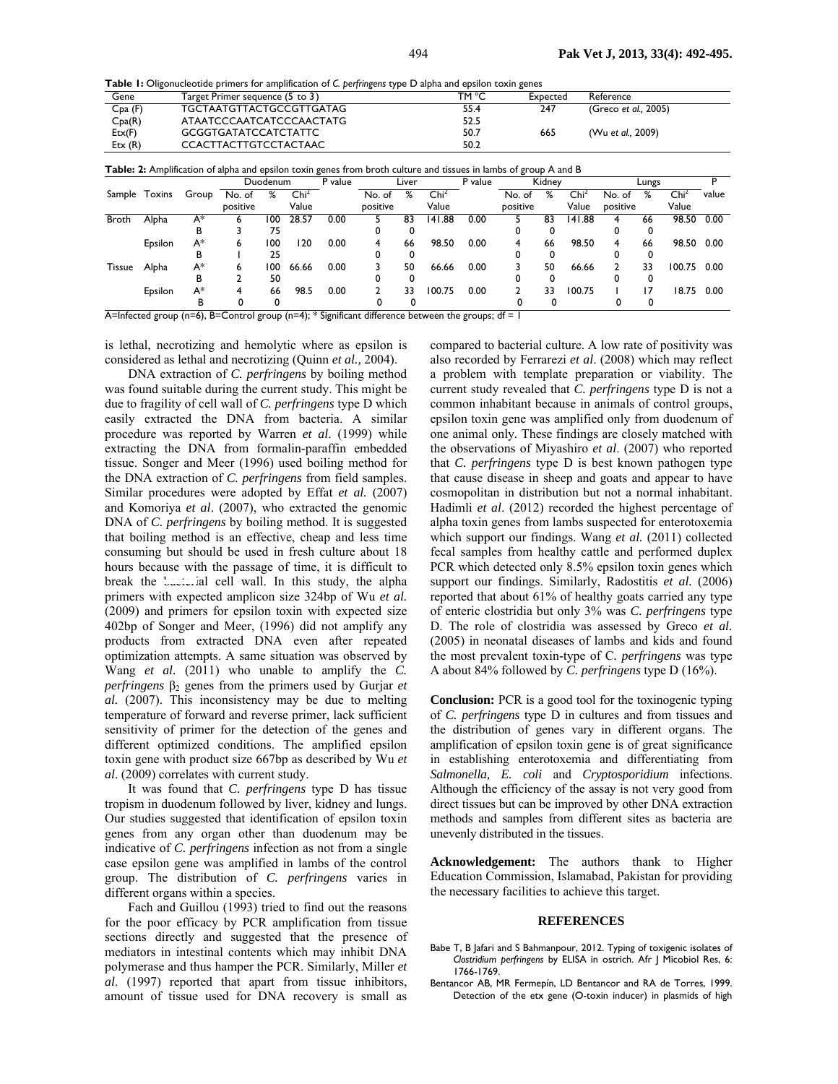**Table 1:** Oligonucleotide primers for amplification of *C. perfringens* type D alpha and epsilon toxin genes

| Gene   | Target Primer sequence (5 to 3) | TM °C | Expected | Reference            |
|--------|---------------------------------|-------|----------|----------------------|
| Cpa(F) | TGCTAATGTTACTGCCGTTGATAG        | 55.4  | 247      | (Greco et al., 2005) |
| Cpa(R) | ATAATCCCAATCATCCCAACTATG        | 52.5  |          |                      |
| Ext(F) | <b>GCGGTGATATCCATCTATTC</b>     | 50.7  | 665      | (Wu et al., 2009)    |
| Ext(R) | CCACTTACTTGTCCTACTAAC           | 50.2  |          |                      |

| Sample       | Toxins  | Group | Duodenum |     | P value          | Liver |          | P value | Kidney           |      |          | Lungs |                  |          |    |                  |       |
|--------------|---------|-------|----------|-----|------------------|-------|----------|---------|------------------|------|----------|-------|------------------|----------|----|------------------|-------|
|              |         |       | No. of   | %   | Chi <sup>2</sup> |       | No. of   | %       | $\mathsf{Chi}^2$ |      | No. of   | ℅     | Chi <sup>2</sup> | No. of   | %  | Chi <sup>2</sup> | value |
|              |         |       | positive |     | Value            |       | positive |         | Value            |      | positive |       | Value            | positive |    | Value            |       |
| <b>Broth</b> | Alpha   | $A^*$ |          | 100 | 28.57            | 0.00  |          | 83      | 141.88           | 0.00 |          | 83    | 141.88           |          | 66 | 98.50            | 0.00  |
|              |         | в     |          | 75  |                  |       |          | 0       |                  |      |          |       |                  |          |    |                  |       |
|              | Epsilon | A*    | 6        | 100 | 120              | 0.00  | 4        | 66      | 98.50            | 0.00 | 4        | 66    | 98.50            |          | 66 | 98.50            | 0.00  |
|              |         | ь     |          | 25  |                  |       |          | 0       |                  |      |          |       |                  |          |    |                  |       |
| Tissue       | Alpha   | A*    | 6        | 100 | 66.66            | 0.00  |          | 50      | 66.66            | 0.00 |          | 50    | 66.66            |          | 33 | 100.75           | 0.00  |
|              |         | в     |          | 50  |                  |       |          | 0       |                  |      |          |       |                  |          |    |                  |       |
|              | Epsilon | A*    | 4        | 66  | 98.5             | 0.00  |          | 33      | 100.75           | 0.00 |          | 33    | 100.75           |          | 7  | 18.75            | 0.00  |
|              |         | в     |          |     |                  |       |          |         |                  |      |          |       |                  |          |    |                  |       |

A=Infected group (n=6), B=Control group (n=4); \* Significant difference between the groups; df = 1

is lethal, necrotizing and hemolytic where as epsilon is considered as lethal and necrotizing (Quinn *et al.,* 2004).

DNA extraction of *C. perfringens* by boiling method was found suitable during the current study. This might be due to fragility of cell wall of *C. perfringens* type D which easily extracted the DNA from bacteria. A similar procedure was reported by Warren *et al*. (1999) while extracting the DNA from formalin-paraffin embedded tissue. Songer and Meer (1996) used boiling method for the DNA extraction of *C. perfringens* from field samples. Similar procedures were adopted by Effat *et al.* (2007) and Komoriya *et al*. (2007), who extracted the genomic DNA of *C. perfringens* by boiling method. It is suggested that boiling method is an effective, cheap and less time consuming but should be used in fresh culture about 18 hours because with the passage of time, it is difficult to break the bacterial cell wall. In this study, the alpha primers with expected amplicon size 324bp of Wu *et al.* (2009) and primers for epsilon toxin with expected size 402bp of Songer and Meer, (1996) did not amplify any products from extracted DNA even after repeated optimization attempts. A same situation was observed by Wang *et al.* (2011) who unable to amplify the *C. perfringens* β<sub>2</sub> genes from the primers used by Gurjar *et al.* (2007). This inconsistency may be due to melting temperature of forward and reverse primer, lack sufficient sensitivity of primer for the detection of the genes and different optimized conditions. The amplified epsilon toxin gene with product size 667bp as described by Wu *et al*. (2009) correlates with current study.

It was found that *C. perfringens* type D has tissue tropism in duodenum followed by liver, kidney and lungs. Our studies suggested that identification of epsilon toxin genes from any organ other than duodenum may be indicative of *C. perfringens* infection as not from a single case epsilon gene was amplified in lambs of the control group. The distribution of *C. perfringens* varies in different organs within a species.

Fach and Guillou (1993) tried to find out the reasons for the poor efficacy by PCR amplification from tissue sections directly and suggested that the presence of mediators in intestinal contents which may inhibit DNA polymerase and thus hamper the PCR. Similarly, Miller *et al*. (1997) reported that apart from tissue inhibitors, amount of tissue used for DNA recovery is small as

compared to bacterial culture. A low rate of positivity was also recorded by Ferrarezi *et al*. (2008) which may reflect a problem with template preparation or viability. The current study revealed that *C. perfringens* type D is not a common inhabitant because in animals of control groups, epsilon toxin gene was amplified only from duodenum of one animal only*.* These findings are closely matched with the observations of Miyashiro *et al*. (2007) who reported that *C. perfringens* type D is best known pathogen type that cause disease in sheep and goats and appear to have cosmopolitan in distribution but not a normal inhabitant. Hadimli *et al*. (2012) recorded the highest percentage of alpha toxin genes from lambs suspected for enterotoxemia which support our findings. Wang *et al.* (2011) collected fecal samples from healthy cattle and performed duplex PCR which detected only 8.5% epsilon toxin genes which support our findings. Similarly, Radostitis *et al.* (2006) reported that about 61% of healthy goats carried any type of enteric clostridia but only 3% was *C. perfringens* type D. The role of clostridia was assessed by Greco *et al.* (2005) in neonatal diseases of lambs and kids and found the most prevalent toxin-type of C*. perfringens* was type A about 84% followed by *C. perfringens* type D (16%).

**Conclusion:** PCR is a good tool for the toxinogenic typing of *C. perfringens* type D in cultures and from tissues and the distribution of genes vary in different organs. The amplification of epsilon toxin gene is of great significance in establishing enterotoxemia and differentiating from *Salmonella, E. coli* and *Cryptosporidium* infections. Although the efficiency of the assay is not very good from direct tissues but can be improved by other DNA extraction methods and samples from different sites as bacteria are unevenly distributed in the tissues.

**Acknowledgement:** The authors thank to Higher Education Commission, Islamabad, Pakistan for providing the necessary facilities to achieve this target.

#### **REFERENCES**

- Babe T, B Jafari and S Bahmanpour, 2012. Typing of toxigenic isolates of *Clostridium perfringens* by ELISA in ostrich. Afr J Micobiol Res, 6: 1766-1769.
- Bentancor AB, MR Fermepín, LD Bentancor and RA de Torres, 1999. Detection of the etx gene (O-toxin inducer) in plasmids of high